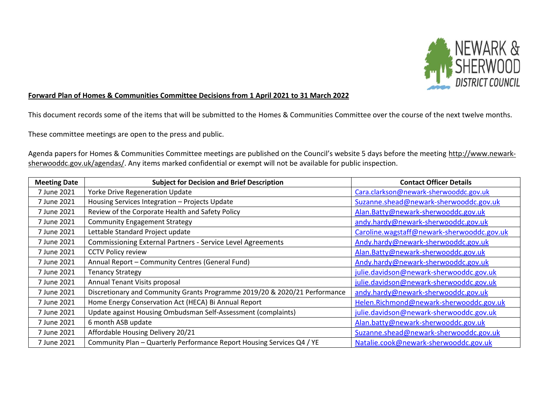

## **Forward Plan of Homes & Communities Committee Decisions from 1 April 2021 to 31 March 2022**

This document records some of the items that will be submitted to the Homes & Communities Committee over the course of the next twelve months.

These committee meetings are open to the press and public.

Agenda papers for Homes & Communities Committee meetings are published on the Council's website 5 days before the meeting [http://www.newark](http://www.newark-sherwooddc.gov.uk/agendas/)[sherwooddc.gov.uk/agendas/.](http://www.newark-sherwooddc.gov.uk/agendas/) Any items marked confidential or exempt will not be available for public inspection.

| <b>Meeting Date</b> | <b>Subject for Decision and Brief Description</b>                          | <b>Contact Officer Details</b>             |
|---------------------|----------------------------------------------------------------------------|--------------------------------------------|
| 7 June 2021         | Yorke Drive Regeneration Update                                            | Cara.clarkson@newark-sherwooddc.gov.uk     |
| 7 June 2021         | Housing Services Integration - Projects Update                             | Suzanne.shead@newark-sherwooddc.gov.uk     |
| 7 June 2021         | Review of the Corporate Health and Safety Policy                           | Alan.Batty@newark-sherwooddc.gov.uk        |
| 7 June 2021         | <b>Community Engagement Strategy</b>                                       | andy.hardy@newark-sherwooddc.gov.uk        |
| 7 June 2021         | Lettable Standard Project update                                           | Caroline.wagstaff@newark-sherwooddc.gov.uk |
| 7 June 2021         | <b>Commissioning External Partners - Service Level Agreements</b>          | Andy.hardy@newark-sherwooddc.gov.uk        |
| 7 June 2021         | <b>CCTV Policy review</b>                                                  | Alan.Batty@newark-sherwooddc.gov.uk        |
| 7 June 2021         | Annual Report - Community Centres (General Fund)                           | Andy.hardy@newark-sherwooddc.gov.uk        |
| 7 June 2021         | <b>Tenancy Strategy</b>                                                    | julie.davidson@newark-sherwooddc.gov.uk    |
| 7 June 2021         | Annual Tenant Visits proposal                                              | julie.davidson@newark-sherwooddc.gov.uk    |
| 7 June 2021         | Discretionary and Community Grants Programme 2019/20 & 2020/21 Performance | andy.hardy@newark-sherwooddc.gov.uk        |
| 7 June 2021         | Home Energy Conservation Act (HECA) Bi Annual Report                       | Helen.Richmond@newark-sherwooddc.gov.uk    |
| 7 June 2021         | Update against Housing Ombudsman Self-Assessment (complaints)              | julie.davidson@newark-sherwooddc.gov.uk    |
| 7 June 2021         | 6 month ASB update                                                         | Alan.batty@newark-sherwooddc.gov.uk        |
| 7 June 2021         | Affordable Housing Delivery 20/21                                          | Suzanne.shead@newark-sherwooddc.gov.uk     |
| 7 June 2021         | Community Plan - Quarterly Performance Report Housing Services Q4 / YE     | Natalie.cook@newark-sherwooddc.gov.uk      |